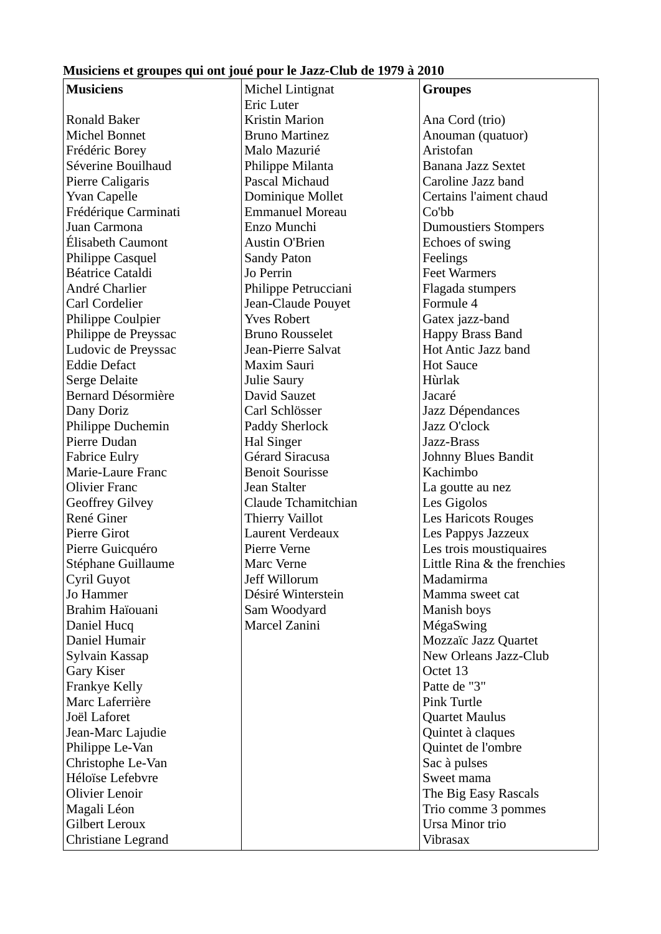## **Musiciens et groupes qui ont joué pour le Jazz-Club de 1979 à 2010**

| <b>Musiciens</b>        | Michel Lintignat       | <b>Groupes</b>              |
|-------------------------|------------------------|-----------------------------|
|                         | <b>Eric Luter</b>      |                             |
| <b>Ronald Baker</b>     | <b>Kristin Marion</b>  | Ana Cord (trio)             |
| <b>Michel Bonnet</b>    | <b>Bruno Martinez</b>  | Anouman (quatuor)           |
| Frédéric Borey          | Malo Mazurié           | Aristofan                   |
| Séverine Bouilhaud      | Philippe Milanta       | Banana Jazz Sextet          |
| Pierre Caligaris        | Pascal Michaud         | Caroline Jazz band          |
| <b>Yvan Capelle</b>     | Dominique Mollet       | Certains l'aiment chaud     |
| Frédérique Carminati    | <b>Emmanuel Moreau</b> | Co'bb                       |
| Juan Carmona            | Enzo Munchi            | <b>Dumoustiers Stompers</b> |
| Élisabeth Caumont       | <b>Austin O'Brien</b>  | Echoes of swing             |
| Philippe Casquel        | <b>Sandy Paton</b>     | Feelings                    |
| <b>Béatrice Cataldi</b> | Jo Perrin              | <b>Feet Warmers</b>         |
| André Charlier          | Philippe Petrucciani   | Flagada stumpers            |
| Carl Cordelier          | Jean-Claude Pouyet     | Formule 4                   |
| Philippe Coulpier       | <b>Yves Robert</b>     | Gatex jazz-band             |
| Philippe de Preyssac    | <b>Bruno Rousselet</b> | Happy Brass Band            |
| Ludovic de Preyssac     | Jean-Pierre Salvat     | <b>Hot Antic Jazz band</b>  |
| <b>Eddie Defact</b>     | Maxim Sauri            | <b>Hot Sauce</b>            |
| <b>Serge Delaite</b>    | Julie Saury            | Hùrlak                      |
| Bernard Désormière      | David Sauzet           | Jacaré                      |
| Dany Doriz              | Carl Schlösser         | Jazz Dépendances            |
| Philippe Duchemin       | <b>Paddy Sherlock</b>  | Jazz O'clock                |
| Pierre Dudan            | <b>Hal Singer</b>      | Jazz-Brass                  |
| <b>Fabrice Eulry</b>    | Gérard Siracusa        | <b>Johnny Blues Bandit</b>  |
| Marie-Laure Franc       | <b>Benoit Sourisse</b> | Kachimbo                    |
| <b>Olivier Franc</b>    | Jean Stalter           | La goutte au nez            |
| <b>Geoffrey Gilvey</b>  | Claude Tchamitchian    | Les Gigolos                 |
| René Giner              | <b>Thierry Vaillot</b> | <b>Les Haricots Rouges</b>  |
| <b>Pierre Girot</b>     | Laurent Verdeaux       | Les Pappys Jazzeux          |
| Pierre Guicquéro        | Pierre Verne           | Les trois moustiquaires     |
| Stéphane Guillaume      | <b>Marc Verne</b>      | Little Rina & the frenchies |
| Cyril Guyot             | Jeff Willorum          | Madamirma                   |
| Jo Hammer               | Désiré Winterstein     | Mamma sweet cat             |
| Brahim Haïouani         | Sam Woodyard           | Manish boys                 |
| Daniel Hucq             | Marcel Zanini          | MégaSwing                   |
| Daniel Humair           |                        | Mozzaïc Jazz Quartet        |
| Sylvain Kassap          |                        | New Orleans Jazz-Club       |
| Gary Kiser              |                        | Octet 13                    |
| <b>Frankye Kelly</b>    |                        | Patte de "3"                |
| Marc Laferrière         |                        | <b>Pink Turtle</b>          |
| Joël Laforet            |                        | <b>Quartet Maulus</b>       |
| Jean-Marc Lajudie       |                        | Quintet à claques           |
| Philippe Le-Van         |                        | Quintet de l'ombre          |
| Christophe Le-Van       |                        | Sac à pulses                |
| Héloïse Lefebvre        |                        | Sweet mama                  |
| Olivier Lenoir          |                        | The Big Easy Rascals        |
| Magali Léon             |                        | Trio comme 3 pommes         |
| Gilbert Leroux          |                        | Ursa Minor trio             |
| Christiane Legrand      |                        | Vibrasax                    |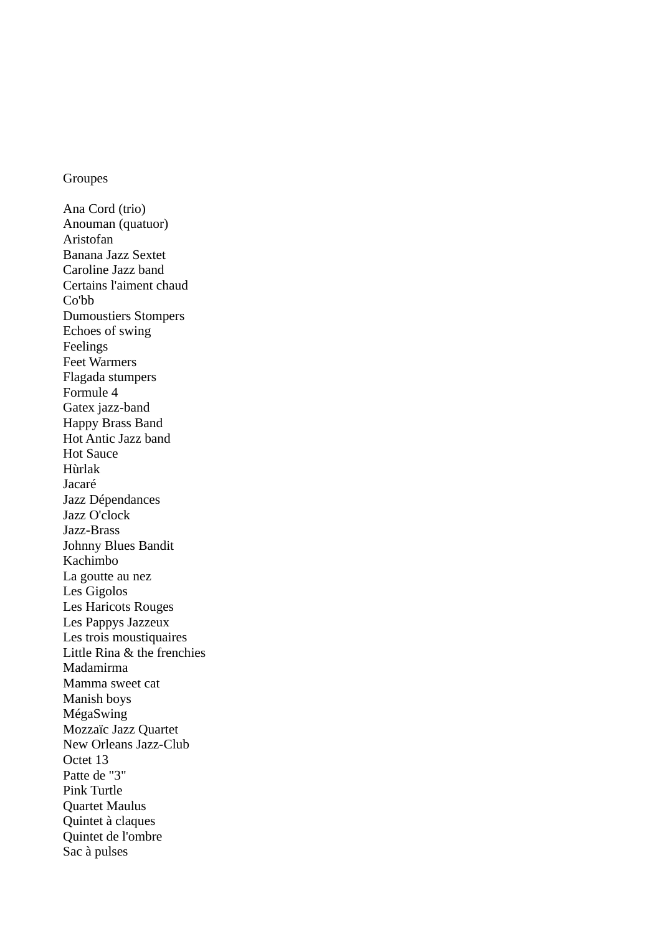## Groupes

Ana Cord (trio) Anouman (quatuor) Aristofan Banana Jazz Sextet Caroline Jazz band Certains l'aiment chaud Co'bb Dumoustiers Stompers Echoes of swing Feelings Feet Warmers Flagada stumpers Formule 4 Gatex jazz-band Happy Brass Band Hot Antic Jazz band Hot Sauce Hùrlak Jacaré Jazz Dépendances Jazz O'clock Jazz-Brass Johnny Blues Bandit Kachimbo La goutte au nez Les Gigolos Les Haricots Rouges Les Pappys Jazzeux Les trois moustiquaires Little Rina & the frenchies Madamirma Mamma sweet cat Manish boys MégaSwing Mozzaïc Jazz Quartet New Orleans Jazz-Club Octet 13 Patte de "3" Pink Turtle Quartet Maulus Quintet à claques Quintet de l'ombre Sac à pulses